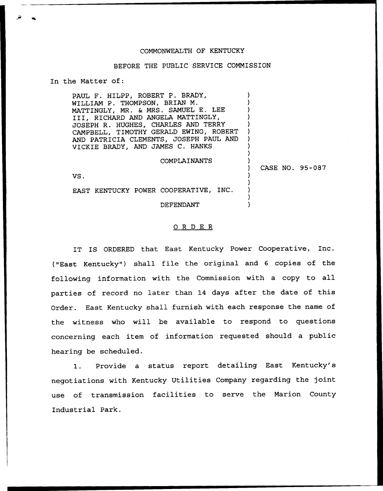## COMMONWEALTH OF KENTUCKY

## BEFORE THE PUBLIC SERVICE COMMISSION

In the Matter of:

PAUL F. HILPP, ROBERT P. BRADY, WILLIAM P. THOMPSON, BRIAN M. MATTINGLY, MR. & MRS. SAMUEL E. LEE III, RICHARD AND ANGELA MATTINGLY, JOSEPH R. HUGHES, CHARLES AND TERRY CAMPBELL, TIMOTHY GERALD EWING, ROBERT AND PATRICIA CLEMENTS, JOSEPH PAUL AND VICKIE BRADY, AND JAMES C. HANKS

## COMPLAINANTS

) CASE NO. 95-087

) ) ) ) ) ) ) ) ) )

) ) ) ) )

VS.

EAST KENTUCKY POWER COOPERATIVE, INC.

DEFENDANT

## ORDER

IT IS ORDERED that East Kentucky Power Cooperative, Inc. {"East Kentucky" ) shall file the original and <sup>6</sup> copies of the following information with the Commission with <sup>a</sup> copy to all parties of record no later than <sup>14</sup> days after the date of this Order. East Kentucky shall furnish with each response the name of the witness who will be available to respond to questions concerning each item of information requested should a public hearing be scheduled.

1. Provide <sup>a</sup> status report detailing East Kentucky's negotiations with Kentucky Utilities Company regarding the joint use of transmission facilities to serve the Marion County Industrial Park.